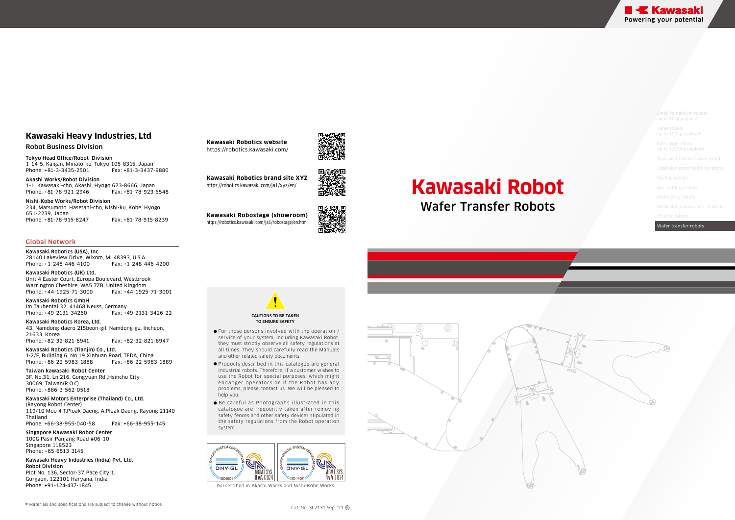# **Kawasaki Robot**

### Wafer Transfer Robots

up to 1,500kg payload

Explosion-proof painting robot

Wafer transfer robots

- For those persons involved with the operation / service of your system, including Kawasaki Robot, they must strictly observe all safety regulations at all times. They should carefully read the Manuals and other related safety documents.
- Products described in this catalogue are general industrial robots. Therefore, if a customer wishes to use the Robot for special purposes, which might endanger operators or if the Robot has any problems, please contact us. We will be pleased to help you.
- Be careful as Photographs illustrated in this catalogue are frequently taken after removing safety fences and other safety devices stipulated in the safety regulations from the Robot operation system.

Akashi Works/Robot Division 1-1, Kawasaki-cho, Akashi, Hyogo 673-8666, Japan Phone: + 81-78-921-2946 Fax: + Fax: +81-78-923-6548





ISO certied in Akashi Works and Nishi-Kobe Works.



#### Robot Business Division

Tokyo Head Office/Robot Division 1-14-5, Kaigan, Minato-ku, Tokyo 105-83 15, Japan Phone: + 81-3-3435-2501 Fax: + Fax: +81-3-3437-9880

### **Kawasaki Heavy Industries, Ltd**

Kawasaki Motors Enterprise (Thailand) Co., Ltd. (Rayong Robot Center) 119/10 Moo 4 T.Pluak Daeng, A.Pluak Daeng, Rayong 21140 Thailand Phone: +66-38-955-040-58 Fax: +66-38-955-145

Nishi-Kobe Works/Robot Division 234, Matsumoto, Hasetani-cho, Nishi-ku, Kobe, Hyogo 651-2239, Japan Phone: + 81-78-9 15-8247 Fax: + 81-78-9 15-8239

#### Global Network

Kawasaki Robotics (USA), Inc. 28140 Lakeview Drive, Wixom, MI 48393, U.S.A. Phone: +1-248-446- 4100 Fax: +1-248-446-4200

Kawasaki Robotics (UK) Ltd. Unit 4 Easter Court, Europa Boulevard, Westbrook Warrington Cheshire, WA5 7ZB, United Kingdom Phone: +44-1925- 71-3000 Fax: +44-1925- 71-30 0 1

Kawasaki Robotics GmbH Im Taubental 32, 4 1468 Neuss, Germany Phone: +49- 2 1 31-34260 Fax: +49- 2 1 31-3426-22

Kawasaki Robotics Korea, Ltd. 43, Namdong-daero 2 15beon-gil, Namdong-gu, Incheon, 21633, Korea Phone: +82-32-8 21-69 41 Fax: +82-32-8 21-6947

Kawasaki Robotics (Tianjin) Co., Ltd. 1·2/F, Building 6, No.19 Xinhuan Road, TEDA, China Phone: +86-22-5983- 1888 Fax: +86-22-5983- 1889

Taiwan kawasaki Robot Center 3F, No.31, Ln. 216, Gongyuan Rd.,Hsinchu City 30069, Taiwan(R.O.C) Phone: +886-3-562-0 518

Singapore Kawasaki Robot Center 100G Pasir Panjang Road #06-10 Singapore 118523 Phone: +65-6 513- 3 145

Kawasaki Heavy Industries (India) Pvt. Ltd. Robot Division Plot No. 136, Sector-3 7, Pace City 1, Gurgaon, 122101 Haryana, India Phone: +91- 124-437-1845

**Kawasaki Robotics website** https://robotics.kawasaki.com/

**Kawasaki Robotics brand site XYZ** https://robotics.kawasaki.com/ja1/xyz/en/



**Kawasaki Robostage (showroom)** https://robotics.kawasaki.com/ja1/robostage/en.html